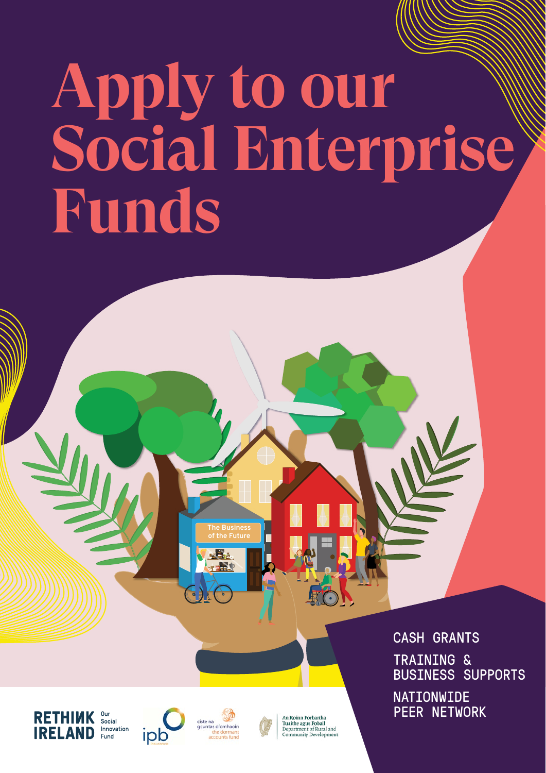# **Apply to our Social Enterprise Funds**

CASH GRANTS TRAINING & BUSINESS SUPPORTS **NATIONWIDE** PEER NETWORK







**The Business of the Future**

 $\mathbf{E}_{\mathbf{A}}$ 

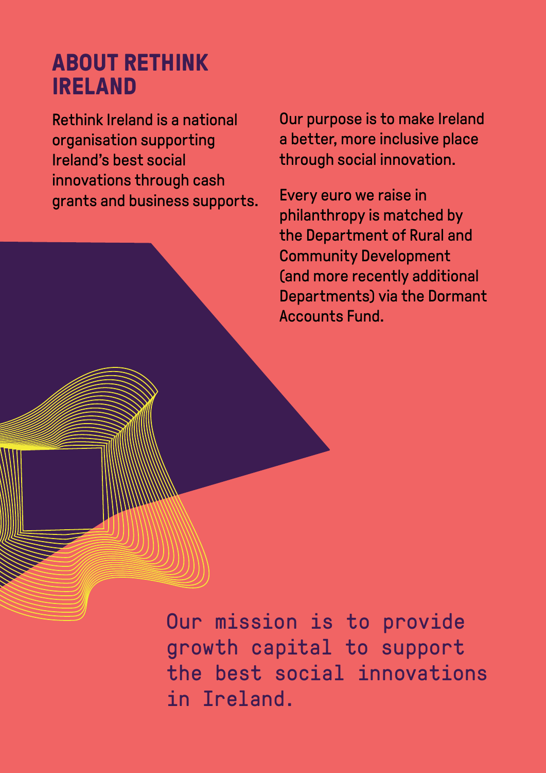## **ABOUT RETHINK IRELAND**

Rethink Ireland is a national organisation supporting Ireland's best social innovations through cash grants and business supports. Our purpose is to make Ireland a better, more inclusive place through social innovation.

Every euro we raise in philanthropy is matched by the Department of Rural and Community Development (and more recently additional Departments) via the Dormant Accounts Fund.

Our mission is to provide growth capital to support the best social innovations in Ireland.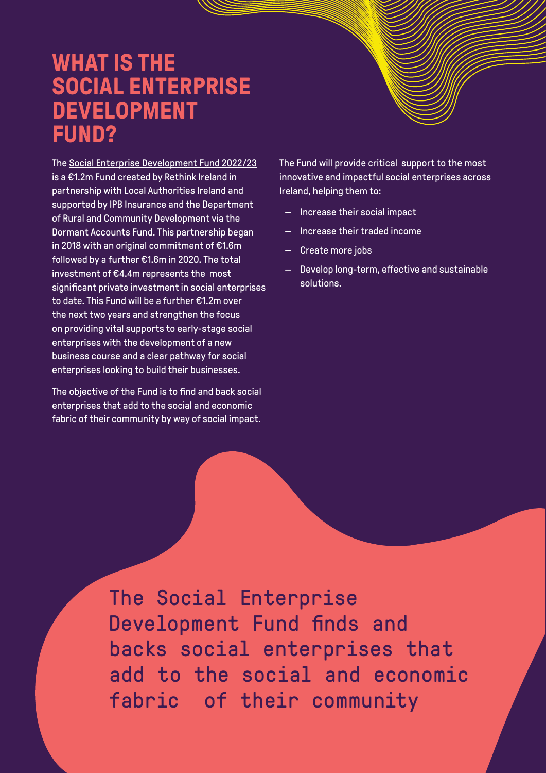#### **WHAT IS THE SOCIAL ENTERPRISE DEVELOPMENT FUND?**

The [Social Enterprise Development Fund 2022/23](https://rethinkireland.ie/current_fund/social-enterprise-development-fund-2022-2023/) is a €1.2m Fund created by Rethink Ireland in partnership with Local Authorities Ireland and supported by IPB Insurance and the Department of Rural and Community Development via the Dormant Accounts Fund. This partnership began in 2018 with an original commitment of €1.6m followed by a further €1.6m in 2020. The total investment of €4.4m represents the most significant private investment in social enterprises to date. This Fund will be a further €1.2m over the next two years and strengthen the focus on providing vital supports to early-stage social enterprises with the development of a new business course and a clear pathway for social enterprises looking to build their businesses.

The objective of the Fund is to find and back social enterprises that add to the social and economic fabric of their community by way of social impact.

The Fund will provide critical support to the most innovative and impactful social enterprises across Ireland, helping them to:

- Increase their social impact
- Increase their traded income
- Create more jobs
- Develop long-term, effective and sustainable solutions.

The Social Enterprise Development Fund finds and backs social enterprises that add to the social and economic fabric of their community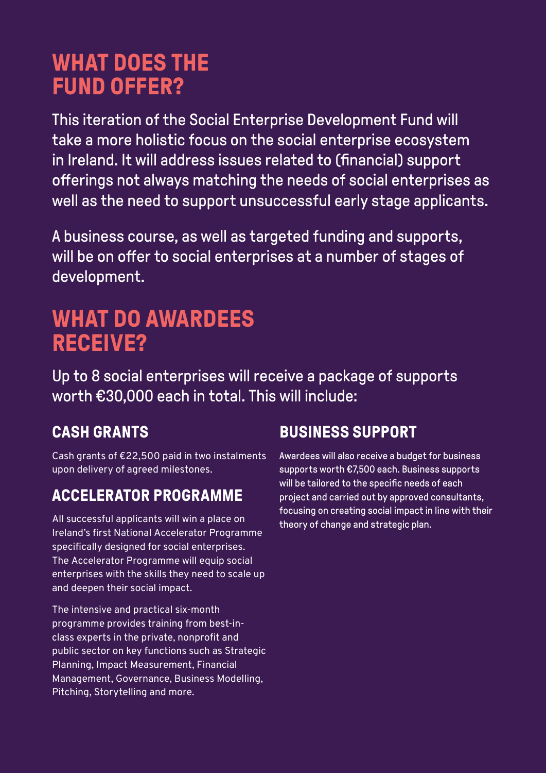# **WHAT DOES THE FUND OFFER?**

This iteration of the Social Enterprise Development Fund will take a more holistic focus on the social enterprise ecosystem in Ireland. It will address issues related to (financial) support offerings not always matching the needs of social enterprises as well as the need to support unsuccessful early stage applicants.

A business course, as well as targeted funding and supports, will be on offer to social enterprises at a number of stages of development.

## **WHAT DO AWARDEES RECEIVE?**

Up to 8 social enterprises will receive a package of supports worth €30,000 each in total. This will include:

#### **CASH GRANTS**

Cash grants of €22,500 paid in two instalments upon delivery of agreed milestones.

#### **ACCELERATOR PROGRAMME**

All successful applicants will win a place on Ireland's first National Accelerator Programme specifically designed for social enterprises. The Accelerator Programme will equip social enterprises with the skills they need to scale up and deepen their social impact.

The intensive and practical six-month programme provides training from best-inclass experts in the private, nonprofit and public sector on key functions such as Strategic Planning, Impact Measurement, Financial Management, Governance, Business Modelling, Pitching, Storytelling and more.

#### **BUSINESS SUPPORT**

Awardees will also receive a budget for business supports worth €7,500 each. Business supports will be tailored to the specific needs of each project and carried out by approved consultants, focusing on creating social impact in line with their theory of change and strategic plan.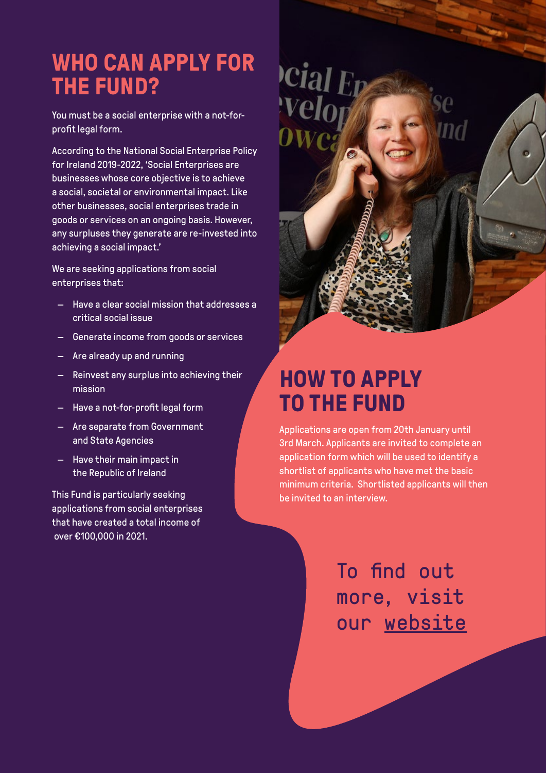## **WHO CAN APPLY FOR THE FUND?**

You must be a social enterprise with a not-forprofit legal form.

According to the National Social Enterprise Policy for Ireland 2019-2022, 'Social Enterprises are businesses whose core objective is to achieve a social, societal or environmental impact. Like other businesses, social enterprises trade in goods or services on an ongoing basis. However, any surpluses they generate are re-invested into achieving a social impact.'

We are seeking applications from social enterprises that:

- Have a clear social mission that addresses a critical social issue
- Generate income from goods or services
- Are already up and running
- Reinvest any surplus into achieving their mission
- Have a not-for-profit legal form
- Are separate from Government and State Agencies
- Have their main impact in the Republic of Ireland

This Fund is particularly seeking applications from social enterprises that have created a total income of over €100,000 in 2021.



# **HOW TO APPLY TO THE FUND**

Applications are open from 20th January until 3rd March. Applicants are invited to complete an application form which will be used to identify a shortlist of applicants who have met the basic minimum criteria. Shortlisted applicants will then be invited to an interview.

> To find out more, visit [our website](https://rethinkireland.ie/current_fund/social-enterprise-development-fund-2022-2023/)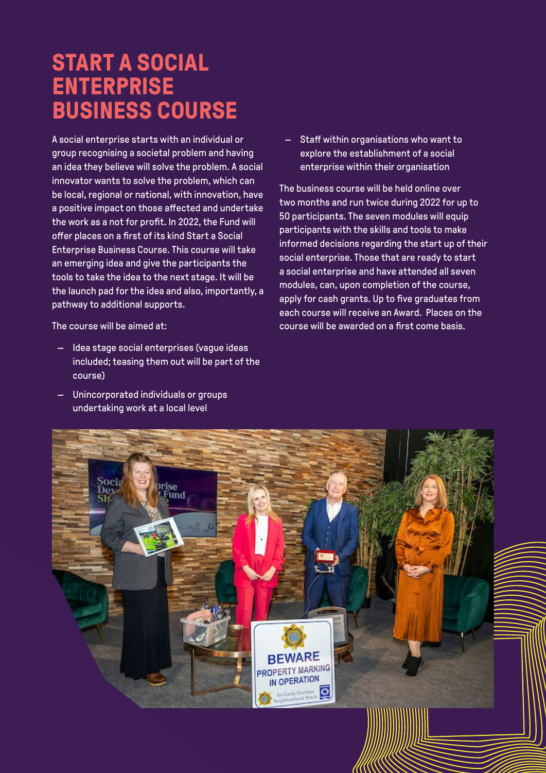## **START A SOCIAL ENTERPRISE BUSINESS COURSE**

A social enterprise starts with an individual or group recognising a societal problem and having an idea they believe will solve the problem. A social innovator wants to solve the problem, which can be local, regional or national, with innovation, have a positive impact on those affected and undertake the work as a not for profit. In 2022, the Fund will offer places on a first of its kind Start a Social Enterprise Business Course. This course will take an emerging idea and give the participants the tools to take the idea to the next stage. It will be the launch pad for the idea and also, importantly, a pathway to additional supports.

— Staff within organisations who want to explore the establishment of a social enterprise within their organisation

The business course will be held online over two months and run twice during 2022 for up to 50 participants. The seven modules will equip participants with the skills and tools to make informed decisions regarding the start up of their social enterprise. Those that are ready to start a social enterprise and have attended all seven modules, can, upon completion of the course, apply for cash grants. Up to five graduates from each course will receive an Award. Places on the course will be awarded on a first come basis.

The course will be aimed at:

- Idea stage social enterprises (vague ideas included; teasing them out will be part of the course)
- Unincorporated individuals or groups undertaking work at a local level

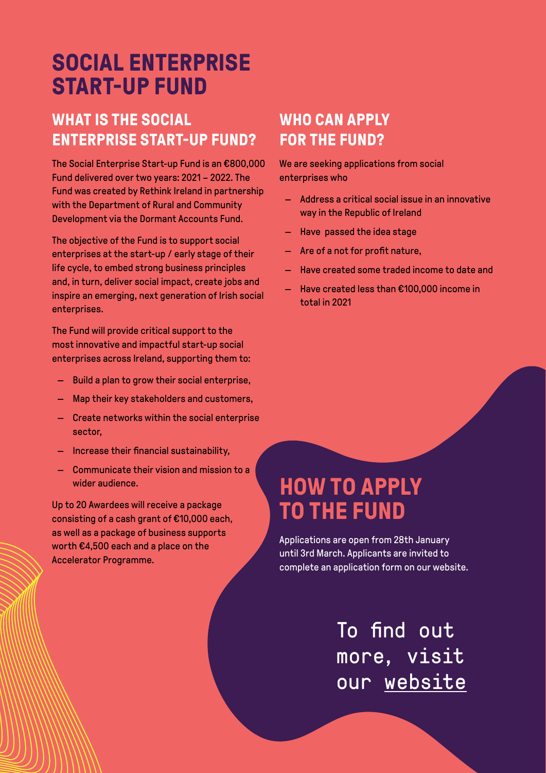# **SOCIAL ENTERPRISE START-UP FUND**

#### **WHAT IS THE SOCIAL ENTERPRISE START-UP FUND?**

The Social Enterprise Start-up Fund is an €800,000 Fund delivered over two years: 2021 – 2022. The Fund was created by Rethink Ireland in partnership with the Department of Rural and Community Development via the Dormant Accounts Fund.

The objective of the Fund is to support social enterprises at the start-up / early stage of their life cycle, to embed strong business principles and, in turn, deliver social impact, create jobs and inspire an emerging, next generation of Irish social enterprises.

The Fund will provide critical support to the most innovative and impactful start-up social enterprises across Ireland, supporting them to:

- Build a plan to grow their social enterprise,
- Map their key stakeholders and customers,
- Create networks within the social enterprise sector,
- Increase their financial sustainability,
- Communicate their vision and mission to a wider audience.

Up to 20 Awardees will receive a package consisting of a cash grant of €10,000 each, as well as a package of business supports worth €4,500 each and a place on the Accelerator Programme.

#### **WHO CAN APPLY FOR THE FUND?**

We are seeking applications from social enterprises who

- Address a critical social issue in an innovative way in the Republic of Ireland
- Have passed the idea stage
- Are of a not for profit nature,
- Have created some traded income to date and
- Have created less than €100,000 income in total in 2021

## **HOW TO APPLY TO THE FUND**

Applications are open from 28th January until 3rd March. Applicants are invited to complete an application form on our website.

> **€3.2 MILLION FUND** To find out more, visit [our website](https://rethinkireland.ie/current_fund/social-enterprise-start-up-fund-2022/)